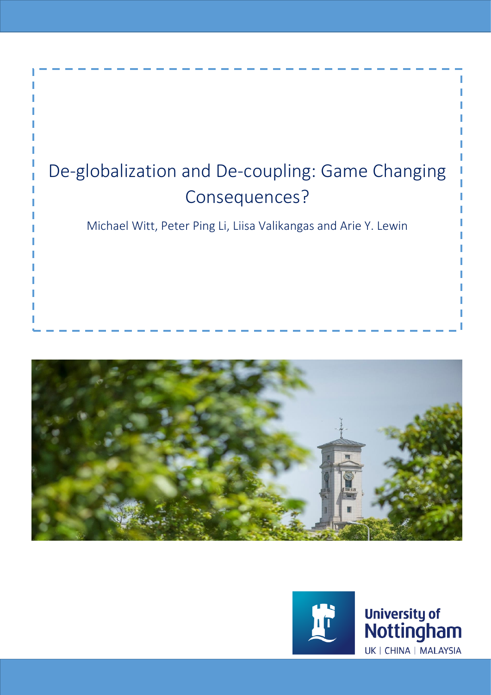





University of<br>Nottingham UK | CHINA | MALAYSIA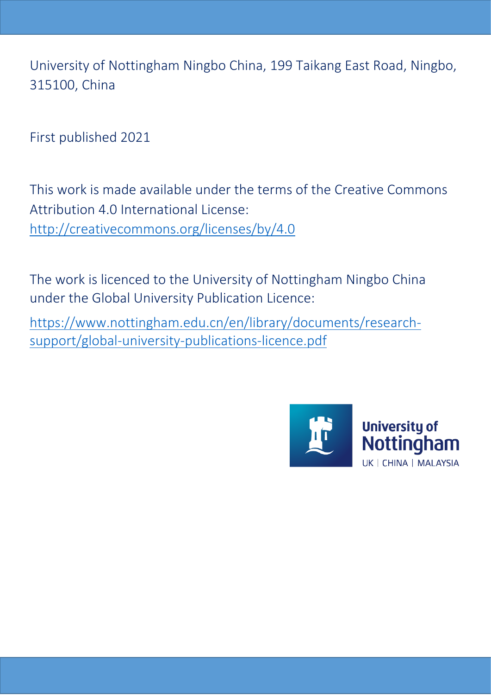University of Nottingham Ningbo China, 199 Taikang East Road, Ningbo, 315100, China

First published 2021

This work is made available under the terms of the Creative Commons Attribution 4.0 International License: <http://creativecommons.org/licenses/by/4.0>

The work is licenced to the University of Nottingham Ningbo China under the Global University Publication Licence:

[https://www.nottingham.edu.cn/en/library/documents/research](https://www.nottingham.edu.cn/en/library/documents/research-support/global-university-publications-licence.pdf)[support/global-university-publications-licence.pdf](https://www.nottingham.edu.cn/en/library/documents/research-support/global-university-publications-licence.pdf)

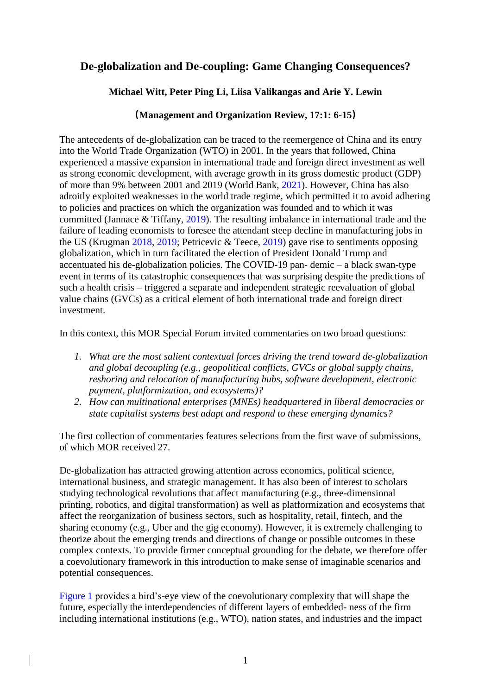# **De-globalization and De-coupling: Game Changing Consequences?**

## **Michael Witt, Peter Ping Li, Liisa Valikangas and Arie Y. Lewin**

## **(Management and Organization Review, 17:1: 6-15)**

The antecedents of de-globalization can be traced to the reemergence of China and its entry into the World Trade Organization (WTO) in 2001. In the years that followed, China experienced a massive expansion in international trade and foreign direct investment as well as strong economic development, with average growth in its gross domestic product (GDP) of more than 9% between 2001 and 2019 (World Bank, 2021). However, China has also adroitly exploited weaknesses in the world trade regime, which permitted it to avoid adhering to policies and practices on which the organization was founded and to which it was committed (Jannace & Tiffany, 2019). The resulting imbalance in international trade and the failure of leading economists to foresee the attendant steep decline in manufacturing jobs in the US (Krugman 2018, 2019; Petricevic & Teece, 2019) gave rise to sentiments opposing globalization, which in turn facilitated the election of President Donald Trump and accentuated his de-globalization policies. The COVID-19 pan- demic – a black swan-type event in terms of its catastrophic consequences that was surprising despite the predictions of such a health crisis – triggered a separate and independent strategic reevaluation of global value chains (GVCs) as a critical element of both international trade and foreign direct investment.

In this context, this MOR Special Forum invited commentaries on two broad questions:

- *1. What are the most salient contextual forces driving the trend toward de-globalization and global decoupling (e.g., geopolitical conflicts, GVCs or global supply chains, reshoring and relocation of manufacturing hubs, software development, electronic payment, platformization, and ecosystems)?*
- *2. How can multinational enterprises (MNEs) headquartered in liberal democracies or state capitalist systems best adapt and respond to these emerging dynamics?*

The first collection of commentaries features selections from the first wave of submissions, of which MOR received 27.

De-globalization has attracted growing attention across economics, political science, international business, and strategic management. It has also been of interest to scholars studying technological revolutions that affect manufacturing (e.g., three-dimensional printing, robotics, and digital transformation) as well as platformization and ecosystems that affect the reorganization of business sectors, such as hospitality, retail, fintech, and the sharing economy (e.g., Uber and the gig economy). However, it is extremely challenging to theorize about the emerging trends and directions of change or possible outcomes in these complex contexts. To provide firmer conceptual grounding for the debate, we therefore offer a coevolutionary framework in this introduction to make sense of imaginable scenarios and potential consequences.

Figure 1 provides a bird's-eye view of the coevolutionary complexity that will shape the future, especially the interdependencies of different layers of embedded- ness of the firm including international institutions (e.g., WTO), nation states, and industries and the impact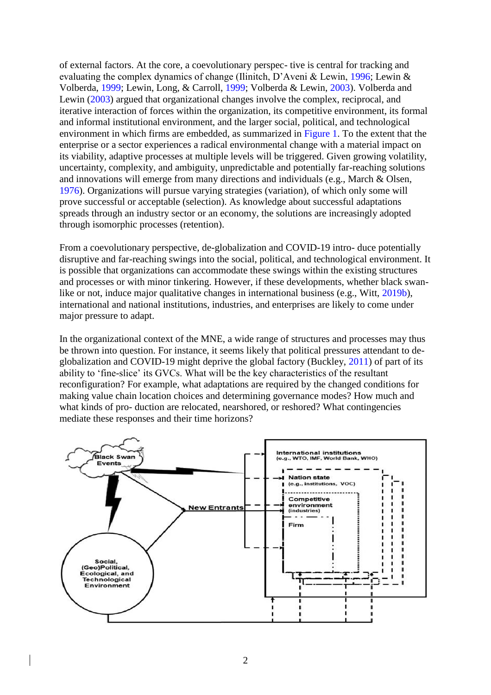of external factors. At the core, a coevolutionary perspec- tive is central for tracking and evaluating the complex dynamics of change (Ilinitch, D'Aveni & Lewin, 1996; Lewin & Volberda, 1999; Lewin, Long, & Carroll, 1999; Volberda & Lewin, 2003). Volberda and Lewin (2003) argued that organizational changes involve the complex, reciprocal, and iterative interaction of forces within the organization, its competitive environment, its formal and informal institutional environment, and the larger social, political, and technological environment in which firms are embedded, as summarized in Figure 1. To the extent that the enterprise or a sector experiences a radical environmental change with a material impact on its viability, adaptive processes at multiple levels will be triggered. Given growing volatility, uncertainty, complexity, and ambiguity, unpredictable and potentially far-reaching solutions and innovations will emerge from many directions and individuals (e.g., March & Olsen, 1976). Organizations will pursue varying strategies (variation), of which only some will prove successful or acceptable (selection). As knowledge about successful adaptations spreads through an industry sector or an economy, the solutions are increasingly adopted through isomorphic processes (retention).

From a coevolutionary perspective, de-globalization and COVID-19 intro- duce potentially disruptive and far-reaching swings into the social, political, and technological environment. It is possible that organizations can accommodate these swings within the existing structures and processes or with minor tinkering. However, if these developments, whether black swanlike or not, induce major qualitative changes in international business (e.g., Witt, 2019b), international and national institutions, industries, and enterprises are likely to come under major pressure to adapt.

In the organizational context of the MNE, a wide range of structures and processes may thus be thrown into question. For instance, it seems likely that political pressures attendant to deglobalization and COVID-19 might deprive the global factory (Buckley, 2011) of part of its ability to 'fine-slice' its GVCs. What will be the key characteristics of the resultant reconfiguration? For example, what adaptations are required by the changed conditions for making value chain location choices and determining governance modes? How much and what kinds of pro- duction are relocated, nearshored, or reshored? What contingencies mediate these responses and their time horizons?

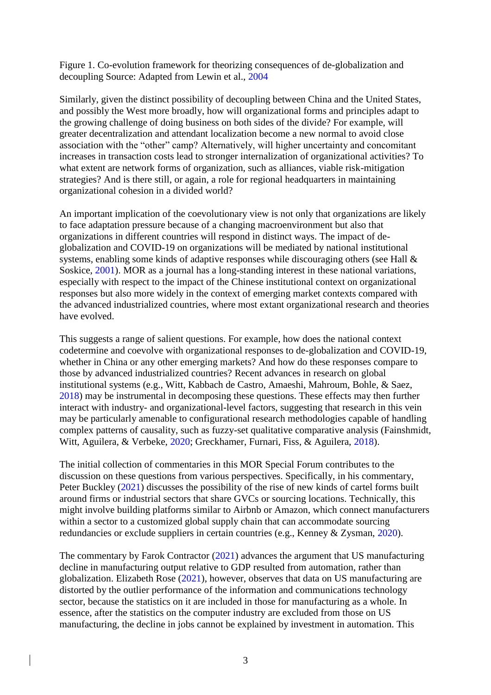Figure 1. Co-evolution framework for theorizing consequences of de-globalization and decoupling Source: Adapted from Lewin et al., 2004

Similarly, given the distinct possibility of decoupling between China and the United States, and possibly the West more broadly, how will organizational forms and principles adapt to the growing challenge of doing business on both sides of the divide? For example, will greater decentralization and attendant localization become a new normal to avoid close association with the "other" camp? Alternatively, will higher uncertainty and concomitant increases in transaction costs lead to stronger internalization of organizational activities? To what extent are network forms of organization, such as alliances, viable risk-mitigation strategies? And is there still, or again, a role for regional headquarters in maintaining organizational cohesion in a divided world?

An important implication of the coevolutionary view is not only that organizations are likely to face adaptation pressure because of a changing macroenvironment but also that organizations in different countries will respond in distinct ways. The impact of deglobalization and COVID-19 on organizations will be mediated by national institutional systems, enabling some kinds of adaptive responses while discouraging others (see Hall & Soskice, 2001). MOR as a journal has a long-standing interest in these national variations, especially with respect to the impact of the Chinese institutional context on organizational responses but also more widely in the context of emerging market contexts compared with the advanced industrialized countries, where most extant organizational research and theories have evolved.

This suggests a range of salient questions. For example, how does the national context codetermine and coevolve with organizational responses to de-globalization and COVID-19, whether in China or any other emerging markets? And how do these responses compare to those by advanced industrialized countries? Recent advances in research on global institutional systems (e.g., Witt, Kabbach de Castro, Amaeshi, Mahroum, Bohle, & Saez, 2018) may be instrumental in decomposing these questions. These effects may then further interact with industry- and organizational-level factors, suggesting that research in this vein may be particularly amenable to configurational research methodologies capable of handling complex patterns of causality, such as fuzzy-set qualitative comparative analysis (Fainshmidt, Witt, Aguilera, & Verbeke, 2020; Greckhamer, Furnari, Fiss, & Aguilera, 2018).

The initial collection of commentaries in this MOR Special Forum contributes to the discussion on these questions from various perspectives. Specifically, in his commentary, Peter Buckley (2021) discusses the possibility of the rise of new kinds of cartel forms built around firms or industrial sectors that share GVCs or sourcing locations. Technically, this might involve building platforms similar to Airbnb or Amazon, which connect manufacturers within a sector to a customized global supply chain that can accommodate sourcing redundancies or exclude suppliers in certain countries (e.g., Kenney & Zysman, 2020).

The commentary by Farok Contractor (2021) advances the argument that US manufacturing decline in manufacturing output relative to GDP resulted from automation, rather than globalization. Elizabeth Rose (2021), however, observes that data on US manufacturing are distorted by the outlier performance of the information and communications technology sector, because the statistics on it are included in those for manufacturing as a whole. In essence, after the statistics on the computer industry are excluded from those on US manufacturing, the decline in jobs cannot be explained by investment in automation. This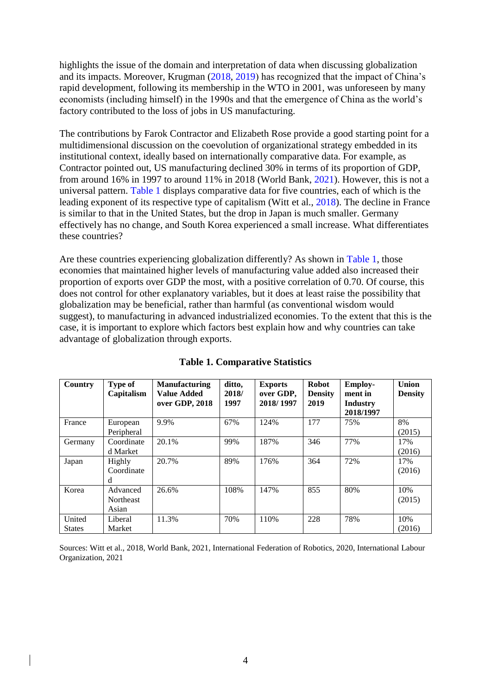highlights the issue of the domain and interpretation of data when discussing globalization and its impacts. Moreover, Krugman (2018, 2019) has recognized that the impact of China's rapid development, following its membership in the WTO in 2001, was unforeseen by many economists (including himself) in the 1990s and that the emergence of China as the world's factory contributed to the loss of jobs in US manufacturing.

The contributions by Farok Contractor and Elizabeth Rose provide a good starting point for a multidimensional discussion on the coevolution of organizational strategy embedded in its institutional context, ideally based on internationally comparative data. For example, as Contractor pointed out, US manufacturing declined 30% in terms of its proportion of GDP, from around 16% in 1997 to around 11% in 2018 (World Bank, 2021). However, this is not a universal pattern. Table 1 displays comparative data for five countries, each of which is the leading exponent of its respective type of capitalism (Witt et al., 2018). The decline in France is similar to that in the United States, but the drop in Japan is much smaller. Germany effectively has no change, and South Korea experienced a small increase. What differentiates these countries?

Are these countries experiencing globalization differently? As shown in Table 1, those economies that maintained higher levels of manufacturing value added also increased their proportion of exports over GDP the most, with a positive correlation of 0.70. Of course, this does not control for other explanatory variables, but it does at least raise the possibility that globalization may be beneficial, rather than harmful (as conventional wisdom would suggest), to manufacturing in advanced industrialized economies. To the extent that this is the case, it is important to explore which factors best explain how and why countries can take advantage of globalization through exports.

| Country                 | Type of<br>Capitalism                 | <b>Manufacturing</b><br><b>Value Added</b><br>over GDP, 2018 | ditto,<br>2018/<br>1997 | <b>Exports</b><br>over GDP,<br>2018/1997 | <b>Robot</b><br><b>Density</b><br>2019 | <b>Employ-</b><br>ment in<br>Industry<br>2018/1997 | Union<br><b>Density</b> |
|-------------------------|---------------------------------------|--------------------------------------------------------------|-------------------------|------------------------------------------|----------------------------------------|----------------------------------------------------|-------------------------|
| France                  | European<br>Peripheral                | 9.9%                                                         | 67%                     | 124%                                     | 177                                    | 75%                                                | 8%<br>(2015)            |
| Germany                 | Coordinate<br>d Market                | 20.1%                                                        | 99%                     | 187%                                     | 346                                    | 77%                                                | 17%<br>(2016)           |
| Japan                   | Highly<br>Coordinate<br>d             | 20.7%                                                        | 89%                     | 176%                                     | 364                                    | 72%                                                | 17%<br>(2016)           |
| Korea                   | Advanced<br><b>Northeast</b><br>Asian | 26.6%                                                        | 108%                    | 147%                                     | 855                                    | 80%                                                | 10%<br>(2015)           |
| United<br><b>States</b> | Liberal<br>Market                     | 11.3%                                                        | 70%                     | 110%                                     | 228                                    | 78%                                                | 10%<br>(2016)           |

**Table 1. Comparative Statistics**

Sources: Witt et al., 2018, World Bank, 2021, International Federation of Robotics, 2020, International Labour Organization, 2021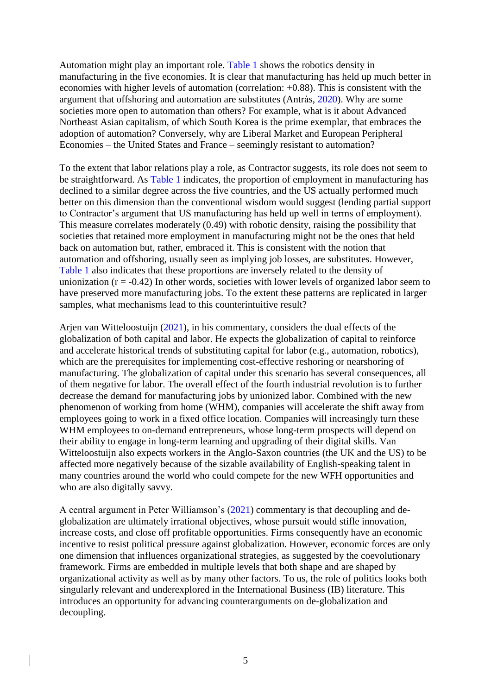Automation might play an important role. Table 1 shows the robotics density in manufacturing in the five economies. It is clear that manufacturing has held up much better in economies with higher levels of automation (correlation: +0.88). This is consistent with the argument that offshoring and automation are substitutes (Antràs, 2020). Why are some societies more open to automation than others? For example, what is it about Advanced Northeast Asian capitalism, of which South Korea is the prime exemplar, that embraces the adoption of automation? Conversely, why are Liberal Market and European Peripheral Economies – the United States and France – seemingly resistant to automation?

To the extent that labor relations play a role, as Contractor suggests, its role does not seem to be straightforward. As Table 1 indicates, the proportion of employment in manufacturing has declined to a similar degree across the five countries, and the US actually performed much better on this dimension than the conventional wisdom would suggest (lending partial support to Contractor's argument that US manufacturing has held up well in terms of employment). This measure correlates moderately (0.49) with robotic density, raising the possibility that societies that retained more employment in manufacturing might not be the ones that held back on automation but, rather, embraced it. This is consistent with the notion that automation and offshoring, usually seen as implying job losses, are substitutes. However, Table 1 also indicates that these proportions are inversely related to the density of unionization  $(r = -0.42)$  In other words, societies with lower levels of organized labor seem to have preserved more manufacturing jobs. To the extent these patterns are replicated in larger samples, what mechanisms lead to this counterintuitive result?

Arjen van Witteloostuijn (2021), in his commentary, considers the dual effects of the globalization of both capital and labor. He expects the globalization of capital to reinforce and accelerate historical trends of substituting capital for labor (e.g., automation, robotics), which are the prerequisites for implementing cost-effective reshoring or nearshoring of manufacturing. The globalization of capital under this scenario has several consequences, all of them negative for labor. The overall effect of the fourth industrial revolution is to further decrease the demand for manufacturing jobs by unionized labor. Combined with the new phenomenon of working from home (WHM), companies will accelerate the shift away from employees going to work in a fixed office location. Companies will increasingly turn these WHM employees to on-demand entrepreneurs, whose long-term prospects will depend on their ability to engage in long-term learning and upgrading of their digital skills. Van Witteloostuijn also expects workers in the Anglo-Saxon countries (the UK and the US) to be affected more negatively because of the sizable availability of English-speaking talent in many countries around the world who could compete for the new WFH opportunities and who are also digitally savvy.

A central argument in Peter Williamson's (2021) commentary is that decoupling and deglobalization are ultimately irrational objectives, whose pursuit would stifle innovation, increase costs, and close off profitable opportunities. Firms consequently have an economic incentive to resist political pressure against globalization. However, economic forces are only one dimension that influences organizational strategies, as suggested by the coevolutionary framework. Firms are embedded in multiple levels that both shape and are shaped by organizational activity as well as by many other factors. To us, the role of politics looks both singularly relevant and underexplored in the International Business (IB) literature. This introduces an opportunity for advancing counterarguments on de-globalization and decoupling.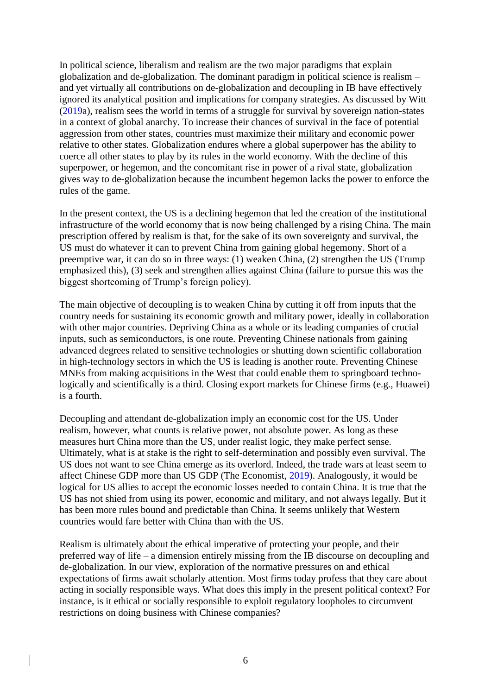In political science, liberalism and realism are the two major paradigms that explain globalization and de-globalization. The dominant paradigm in political science is realism – and yet virtually all contributions on de-globalization and decoupling in IB have effectively ignored its analytical position and implications for company strategies. As discussed by Witt (2019a), realism sees the world in terms of a struggle for survival by sovereign nation-states in a context of global anarchy. To increase their chances of survival in the face of potential aggression from other states, countries must maximize their military and economic power relative to other states. Globalization endures where a global superpower has the ability to coerce all other states to play by its rules in the world economy. With the decline of this superpower, or hegemon, and the concomitant rise in power of a rival state, globalization gives way to de-globalization because the incumbent hegemon lacks the power to enforce the rules of the game.

In the present context, the US is a declining hegemon that led the creation of the institutional infrastructure of the world economy that is now being challenged by a rising China. The main prescription offered by realism is that, for the sake of its own sovereignty and survival, the US must do whatever it can to prevent China from gaining global hegemony. Short of a preemptive war, it can do so in three ways: (1) weaken China, (2) strengthen the US (Trump emphasized this), (3) seek and strengthen allies against China (failure to pursue this was the biggest shortcoming of Trump's foreign policy).

The main objective of decoupling is to weaken China by cutting it off from inputs that the country needs for sustaining its economic growth and military power, ideally in collaboration with other major countries. Depriving China as a whole or its leading companies of crucial inputs, such as semiconductors, is one route. Preventing Chinese nationals from gaining advanced degrees related to sensitive technologies or shutting down scientific collaboration in high-technology sectors in which the US is leading is another route. Preventing Chinese MNEs from making acquisitions in the West that could enable them to springboard technologically and scientifically is a third. Closing export markets for Chinese firms (e.g., Huawei) is a fourth.

Decoupling and attendant de-globalization imply an economic cost for the US. Under realism, however, what counts is relative power, not absolute power. As long as these measures hurt China more than the US, under realist logic, they make perfect sense. Ultimately, what is at stake is the right to self-determination and possibly even survival. The US does not want to see China emerge as its overlord. Indeed, the trade wars at least seem to affect Chinese GDP more than US GDP (The Economist, 2019). Analogously, it would be logical for US allies to accept the economic losses needed to contain China. It is true that the US has not shied from using its power, economic and military, and not always legally. But it has been more rules bound and predictable than China. It seems unlikely that Western countries would fare better with China than with the US.

Realism is ultimately about the ethical imperative of protecting your people, and their preferred way of life – a dimension entirely missing from the IB discourse on decoupling and de-globalization. In our view, exploration of the normative pressures on and ethical expectations of firms await scholarly attention. Most firms today profess that they care about acting in socially responsible ways. What does this imply in the present political context? For instance, is it ethical or socially responsible to exploit regulatory loopholes to circumvent restrictions on doing business with Chinese companies?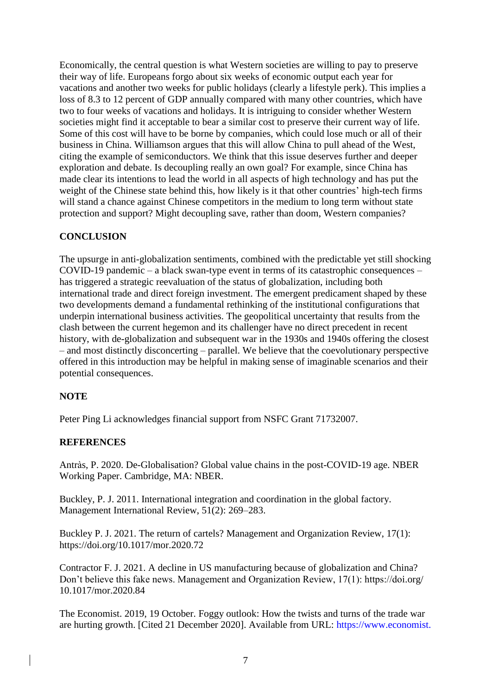Economically, the central question is what Western societies are willing to pay to preserve their way of life. Europeans forgo about six weeks of economic output each year for vacations and another two weeks for public holidays (clearly a lifestyle perk). This implies a loss of 8.3 to 12 percent of GDP annually compared with many other countries, which have two to four weeks of vacations and holidays. It is intriguing to consider whether Western societies might find it acceptable to bear a similar cost to preserve their current way of life. Some of this cost will have to be borne by companies, which could lose much or all of their business in China. Williamson argues that this will allow China to pull ahead of the West, citing the example of semiconductors. We think that this issue deserves further and deeper exploration and debate. Is decoupling really an own goal? For example, since China has made clear its intentions to lead the world in all aspects of high technology and has put the weight of the Chinese state behind this, how likely is it that other countries' high-tech firms will stand a chance against Chinese competitors in the medium to long term without state protection and support? Might decoupling save, rather than doom, Western companies?

## **CONCLUSION**

The upsurge in anti-globalization sentiments, combined with the predictable yet still shocking COVID-19 pandemic – a black swan-type event in terms of its catastrophic consequences – has triggered a strategic reevaluation of the status of globalization, including both international trade and direct foreign investment. The emergent predicament shaped by these two developments demand a fundamental rethinking of the institutional configurations that underpin international business activities. The geopolitical uncertainty that results from the clash between the current hegemon and its challenger have no direct precedent in recent history, with de-globalization and subsequent war in the 1930s and 1940s offering the closest – and most distinctly disconcerting – parallel. We believe that the coevolutionary perspective offered in this introduction may be helpful in making sense of imaginable scenarios and their potential consequences.

### **NOTE**

Peter Ping Li acknowledges financial support from NSFC Grant 71732007.

## **REFERENCES**

Antràs, P. 2020. De-Globalisation? Global value chains in the post-COVID-19 age. NBER Working Paper. Cambridge, MA: NBER.

Buckley, P. J. 2011. International integration and coordination in the global factory. Management International Review, 51(2): 269–283.

Buckley P. J. 2021. The return of cartels? Management and Organization Review, 17(1): https://doi.org/10.1017/mor.2020.72

Contractor F. J. 2021. A decline in US manufacturing because of globalization and China? Don't believe this fake news. Management and Organization Review, 17(1): https://doi.org/ 10.1017/mor.2020.84

The Economist. 2019, 19 October. Foggy outlook: How the twists and turns of the trade war are hurting growth. [Cited 21 December 2020]. Available from URL: https://www.economist.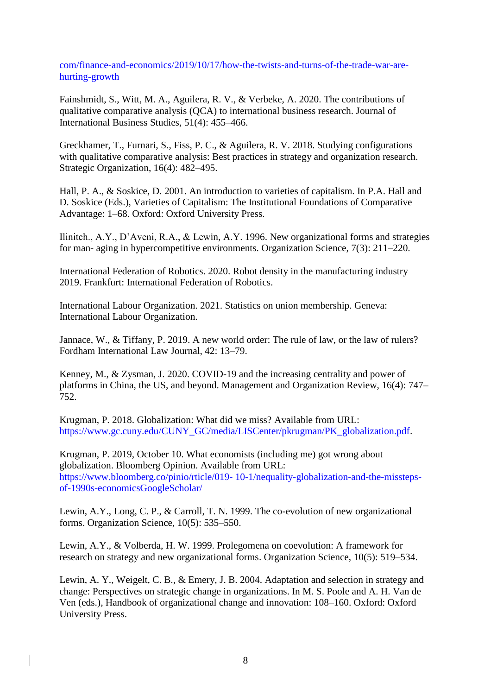com/finance-and-economics/2019/10/17/how-the-twists-and-turns-of-the-trade-war-arehurting-growth

Fainshmidt, S., Witt, M. A., Aguilera, R. V., & Verbeke, A. 2020. The contributions of qualitative comparative analysis (QCA) to international business research. Journal of International Business Studies, 51(4): 455–466.

Greckhamer, T., Furnari, S., Fiss, P. C., & Aguilera, R. V. 2018. Studying configurations with qualitative comparative analysis: Best practices in strategy and organization research. Strategic Organization, 16(4): 482–495.

Hall, P. A., & Soskice, D. 2001. An introduction to varieties of capitalism. In P.A. Hall and D. Soskice (Eds.), Varieties of Capitalism: The Institutional Foundations of Comparative Advantage: 1–68. Oxford: Oxford University Press.

Ilinitch., A.Y., D'Aveni, R.A., & Lewin, A.Y. 1996. New organizational forms and strategies for man- aging in hypercompetitive environments. Organization Science, 7(3): 211–220.

International Federation of Robotics. 2020. Robot density in the manufacturing industry 2019. Frankfurt: International Federation of Robotics.

International Labour Organization. 2021. Statistics on union membership. Geneva: International Labour Organization.

Jannace, W., & Tiffany, P. 2019. A new world order: The rule of law, or the law of rulers? Fordham International Law Journal, 42: 13–79.

Kenney, M., & Zysman, J. 2020. COVID-19 and the increasing centrality and power of platforms in China, the US, and beyond. Management and Organization Review, 16(4): 747– 752.

Krugman, P. 2018. Globalization: What did we miss? Available from URL: https://www.gc.cuny.edu/CUNY\_GC/media/LISCenter/pkrugman/PK\_globalization.pdf.

Krugman, P. 2019, October 10. What economists (including me) got wrong about globalization. Bloomberg Opinion. Available from URL: https://www.bloomberg.co/pinio/rticle/019- 10-1/nequality-globalization-and-the-misstepsof-1990s-economicsGoogleScholar/

Lewin, A.Y., Long, C. P., & Carroll, T. N. 1999. The co-evolution of new organizational forms. Organization Science, 10(5): 535–550.

Lewin, A.Y., & Volberda, H. W. 1999. Prolegomena on coevolution: A framework for research on strategy and new organizational forms. Organization Science, 10(5): 519–534.

Lewin, A. Y., Weigelt, C. B., & Emery, J. B. 2004. Adaptation and selection in strategy and change: Perspectives on strategic change in organizations. In M. S. Poole and A. H. Van de Ven (eds.), Handbook of organizational change and innovation: 108–160. Oxford: Oxford University Press.